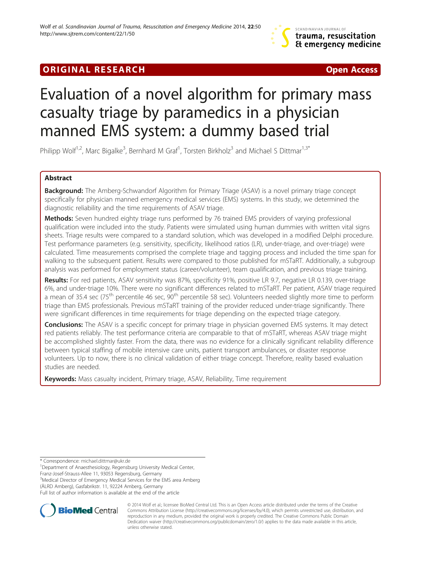## **ORIGINAL RESEARCH CONSUMING A RESEARCH CONSUMING A RESEARCH**

# Evaluation of a novel algorithm for primary mass casualty triage by paramedics in a physician manned EMS system: a dummy based trial

Philipp Wolf<sup>1,2</sup>, Marc Bigalke<sup>3</sup>, Bernhard M Graf<sup>1</sup>, Torsten Birkholz<sup>3</sup> and Michael S Dittmar<sup>1,3\*</sup>

## Abstract

Background: The Amberg-Schwandorf Algorithm for Primary Triage (ASAV) is a novel primary triage concept specifically for physician manned emergency medical services (EMS) systems. In this study, we determined the diagnostic reliability and the time requirements of ASAV triage.

Methods: Seven hundred eighty triage runs performed by 76 trained EMS providers of varying professional qualification were included into the study. Patients were simulated using human dummies with written vital signs sheets. Triage results were compared to a standard solution, which was developed in a modified Delphi procedure. Test performance parameters (e.g. sensitivity, specificity, likelihood ratios (LR), under-triage, and over-triage) were calculated. Time measurements comprised the complete triage and tagging process and included the time span for walking to the subsequent patient. Results were compared to those published for mSTaRT. Additionally, a subgroup analysis was performed for employment status (career/volunteer), team qualification, and previous triage training.

Results: For red patients, ASAV sensitivity was 87%, specificity 91%, positive LR 9.7, negative LR 0.139, over-triage 6%, and under-triage 10%. There were no significant differences related to mSTaRT. Per patient, ASAV triage required a mean of 35.4 sec (75<sup>th</sup> percentile 46 sec, 90<sup>th</sup> percentile 58 sec). Volunteers needed slightly more time to perform triage than EMS professionals. Previous mSTaRT training of the provider reduced under-triage significantly. There were significant differences in time requirements for triage depending on the expected triage category.

**Conclusions:** The ASAV is a specific concept for primary triage in physician governed EMS systems. It may detect red patients reliably. The test performance criteria are comparable to that of mSTaRT, whereas ASAV triage might be accomplished slightly faster. From the data, there was no evidence for a clinically significant reliability difference between typical staffing of mobile intensive care units, patient transport ambulances, or disaster response volunteers. Up to now, there is no clinical validation of either triage concept. Therefore, reality based evaluation studies are needed.

Keywords: Mass casualty incident, Primary triage, ASAV, Reliability, Time requirement

<sup>1</sup>Department of Anaesthesiology, Regensburg University Medical Center,

Franz-Josef-Strauss-Allee 11, 93053 Regensburg, Germany <sup>3</sup>Medical Director of Emergency Medical Services for the EMS area Amberg

(ÄLRD Amberg), Gasfabrikstr. 11, 92224 Amberg, Germany

Full list of author information is available at the end of the article



© 2014 Wolf et al.; licensee BioMed Central Ltd. This is an Open Access article distributed under the terms of the Creative Commons Attribution License [\(http://creativecommons.org/licenses/by/4.0\)](http://creativecommons.org/licenses/by/4.0), which permits unrestricted use, distribution, and reproduction in any medium, provided the original work is properly credited. The Creative Commons Public Domain Dedication waiver [\(http://creativecommons.org/publicdomain/zero/1.0/](http://creativecommons.org/publicdomain/zero/1.0/)) applies to the data made available in this article, unless otherwise stated.

<sup>\*</sup> Correspondence: [michael.dittmar@ukr.de](mailto:michael.dittmar@ukr.de) <sup>1</sup>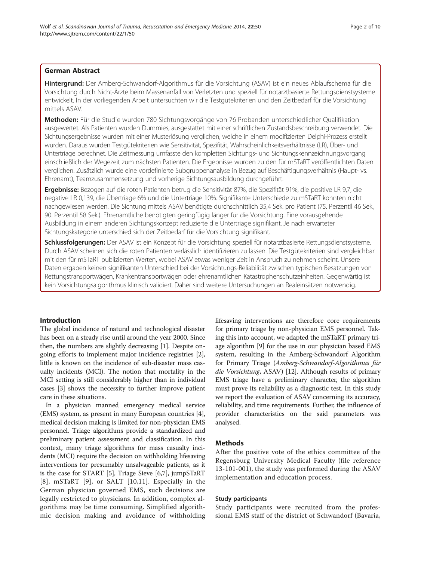## German Abstract

Hintergrund: Der Amberg-Schwandorf-Algorithmus für die Vorsichtung (ASAV) ist ein neues Ablaufschema für die Vorsichtung durch Nicht-Ärzte beim Massenanfall von Verletzten und speziell für notarztbasierte Rettungsdienstsysteme entwickelt. In der vorliegenden Arbeit untersuchten wir die Testgütekriterien und den Zeitbedarf für die Vorsichtung mittels ASAV.

Methoden: Für die Studie wurden 780 Sichtungsvorgänge von 76 Probanden unterschiedlicher Qualifikation ausgewertet. Als Patienten wurden Dummies, ausgestattet mit einer schriftlichen Zustandsbeschreibung verwendet. Die Sichtungsergebnisse wurden mit einer Musterlösung verglichen, welche in einem modifizierten Delphi-Prozess erstellt wurden. Daraus wurden Testgütekriterien wie Sensitivität, Spezifität, Wahrscheinlichkeitsverhältnisse (LR), Über- und Untertriage berechnet. Die Zeitmessung umfasste den kompletten Sichtungs- und Sichtungskennzeichnungsvorgang einschließlich der Wegezeit zum nächsten Patienten. Die Ergebnisse wurden zu den für mSTaRT veröffentlichten Daten verglichen. Zusätzlich wurde eine vordefinierte Subgruppenanalyse in Bezug auf Beschäftigungsverhältnis (Haupt- vs. Ehrenamt), Teamzusammensetzung und vorherige Sichtungsausbildung durchgeführt.

Ergebnisse: Bezogen auf die roten Patienten betrug die Sensitivität 87%, die Spezifität 91%, die positive LR 9,7, die negative LR 0,139, die Übertriage 6% und die Untertriage 10%. Signifikante Unterschiede zu mSTaRT konnten nicht nachgewiesen werden. Die Sichtung mittels ASAV benötigte durchschnittlich 35,4 Sek. pro Patient (75. Perzentil 46 Sek., 90. Perzentil 58 Sek.). Ehrenamtliche benötigten geringfügig länger für die Vorsichtung. Eine vorausgehende Ausbildung in einem anderen Sichtungskonzept reduzierte die Untertriage signifikant. Je nach erwarteter Sichtungskategorie unterschied sich der Zeitbedarf für die Vorsichtung signifikant.

Schlussfolgerungen: Der ASAV ist ein Konzept für die Vorsichtung speziell für notarztbasierte Rettungsdienstsysteme. Durch ASAV scheinen sich die roten Patienten verlässlich identifizieren zu lassen. Die Testgütekriterien sind vergleichbar mit den für mSTaRT publizierten Werten, wobei ASAV etwas weniger Zeit in Anspruch zu nehmen scheint. Unsere Daten ergaben keinen signifikanten Unterschied bei der Vorsichtungs-Reliabilität zwischen typischen Besatzungen von Rettungstransportwägen, Krankentransportwägen oder ehrenamtlichen Katastrophenschutzeinheiten. Gegenwärtig ist kein Vorsichtungsalgorithmus klinisch validiert. Daher sind weitere Untersuchungen an Realeinsätzen notwendig.

## Introduction

The global incidence of natural and technological disaster has been on a steady rise until around the year 2000. Since then, the numbers are slightly decreasing [\[1\]](#page-8-0). Despite ongoing efforts to implement major incidence registries [[2](#page-8-0)], little is known on the incidence of sub-disaster mass casualty incidents (MCI). The notion that mortality in the MCI setting is still considerably higher than in individual cases [\[3](#page-8-0)] shows the necessity to further improve patient care in these situations.

In a physician manned emergency medical service (EMS) system, as present in many European countries [[4](#page-8-0)], medical decision making is limited for non-physician EMS personnel. Triage algorithms provide a standardized and preliminary patient assessment and classification. In this context, many triage algorithms for mass casualty incidents (MCI) require the decision on withholding lifesaving interventions for presumably unsalvageable patients, as it is the case for START [[5](#page-8-0)], Triage Sieve [[6,7](#page-8-0)], jumpSTaRT [[8](#page-8-0)], mSTaRT [[9](#page-8-0)], or SALT [[10,](#page-8-0)[11](#page-9-0)]. Especially in the German physician governed EMS, such decisions are legally restricted to physicians. In addition, complex algorithms may be time consuming. Simplified algorithmic decision making and avoidance of withholding

lifesaving interventions are therefore core requirements for primary triage by non-physician EMS personnel. Taking this into account, we adapted the mSTaRT primary triage algorithm [\[9](#page-8-0)] for the use in our physician based EMS system, resulting in the Amberg-Schwandorf Algorithm for Primary Triage (Amberg-Schwandorf-Algorithmus für die Vorsichtung, ASAV) [\[12\]](#page-9-0). Although results of primary EMS triage have a preliminary character, the algorithm must prove its reliability as a diagnostic test. In this study we report the evaluation of ASAV concerning its accuracy, reliability, and time requirements. Further, the influence of provider characteristics on the said parameters was analysed.

#### Methods

After the positive vote of the ethics committee of the Regensburg University Medical Faculty (file reference 13-101-001), the study was performed during the ASAV implementation and education process.

#### Study participants

Study participants were recruited from the professional EMS staff of the district of Schwandorf (Bavaria,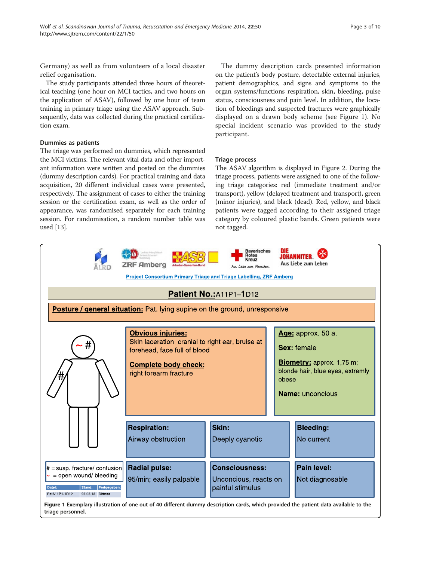Germany) as well as from volunteers of a local disaster relief organisation.

The study participants attended three hours of theoretical teaching (one hour on MCI tactics, and two hours on the application of ASAV), followed by one hour of team training in primary triage using the ASAV approach. Subsequently, data was collected during the practical certification exam.

## Dummies as patients

The triage was performed on dummies, which represented the MCI victims. The relevant vital data and other important information were written and posted on the dummies (dummy description cards). For practical training and data acquisition, 20 different individual cases were presented, respectively. The assignment of cases to either the training session or the certification exam, as well as the order of appearance, was randomised separately for each training session. For randomisation, a random number table was used [[13](#page-9-0)].

The dummy description cards presented information on the patient's body posture, detectable external injuries, patient demographics, and signs and symptoms to the organ systems/functions respiration, skin, bleeding, pulse status, consciousness and pain level. In addition, the location of bleedings and suspected fractures were graphically displayed on a drawn body scheme (see Figure 1). No special incident scenario was provided to the study participant.

## Triage process

The ASAV algorithm is displayed in Figure [2.](#page-3-0) During the triage process, patients were assigned to one of the following triage categories: red (immediate treatment and/or transport), yellow (delayed treatment and transport), green (minor injuries), and black (dead). Red, yellow, and black patients were tagged according to their assigned triage category by coloured plastic bands. Green patients were not tagged.



Figure 1 Exemplary illustration of one out of 40 different dummy description cards, which provided the patient data available to the triage personnel.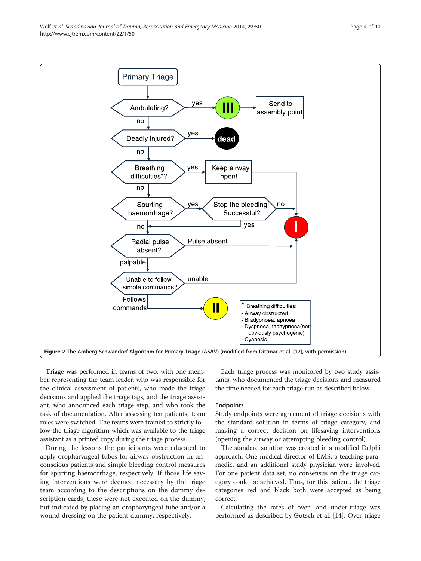<span id="page-3-0"></span>

Triage was performed in teams of two, with one member representing the team leader, who was responsible for the clinical assessment of patients, who made the triage decisions and applied the triage tags, and the triage assistant, who announced each triage step, and who took the task of documentation. After assessing ten patients, team roles were switched. The teams were trained to strictly follow the triage algorithm which was available to the triage assistant as a printed copy during the triage process.

During the lessons the participants were educated to apply oropharyngeal tubes for airway obstruction in unconscious patients and simple bleeding control measures for spurting haemorrhage, respectively. If those life saving interventions were deemed necessary by the triage team according to the descriptions on the dummy description cards, these were not executed on the dummy, but indicated by placing an oropharyngeal tube and/or a wound dressing on the patient dummy, respectively.

Each triage process was monitored by two study assistants, who documented the triage decisions and measured the time needed for each triage run as described below.

#### Endpoints

Study endpoints were agreement of triage decisions with the standard solution in terms of triage category, and making a correct decision on lifesaving interventions (opening the airway or attempting bleeding control).

The standard solution was created in a modified Delphi approach. One medical director of EMS, a teaching paramedic, and an additional study physician were involved. For one patient data set, no consensus on the triage category could be achieved. Thus, for this patient, the triage categories red and black both were accepted as being correct.

Calculating the rates of over- and under-triage was performed as described by Gutsch et al. [[14\]](#page-9-0). Over-triage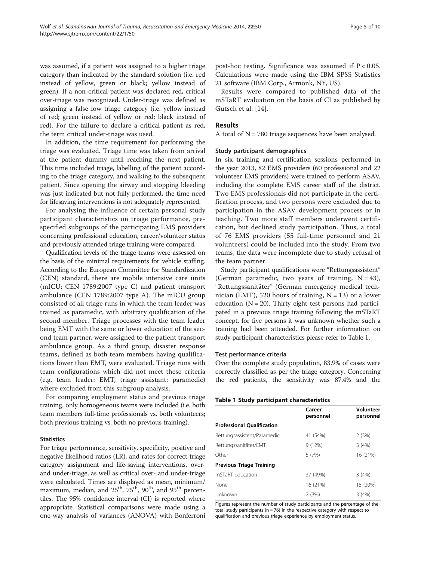was assumed, if a patient was assigned to a higher triage category than indicated by the standard solution (i.e. red instead of yellow, green or black; yellow instead of green). If a non-critical patient was declared red, critical over-triage was recognized. Under-triage was defined as assigning a false low triage category (i.e. yellow instead of red; green instead of yellow or red; black instead of red). For the failure to declare a critical patient as red, the term critical under-triage was used.

In addition, the time requirement for performing the triage was evaluated. Triage time was taken from arrival at the patient dummy until reaching the next patient. This time included triage, labelling of the patient according to the triage category, and walking to the subsequent patient. Since opening the airway and stopping bleeding was just indicated but not fully performed, the time need for lifesaving interventions is not adequately represented.

For analysing the influence of certain personal study participant characteristics on triage performance, prespecified subgroups of the participating EMS providers concerning professional education, career/volunteer status and previously attended triage training were compared.

Qualification levels of the triage teams were assessed on the basis of the minimal requirements for vehicle staffing. According to the European Committee for Standardization (CEN) standard, there are mobile intensive care units (mICU; CEN 1789:2007 type C) and patient transport ambulance (CEN 1789:2007 type A). The mICU group consisted of all triage runs in which the team leader was trained as paramedic, with arbitrary qualification of the second member. Triage processes with the team leader being EMT with the same or lower education of the second team partner, were assigned to the patient transport ambulance group. As a third group, disaster response teams, defined as both team members having qualifications lower than EMT, were evaluated. Triage runs with team configurations which did not meet these criteria (e.g. team leader: EMT, triage assistant: paramedic) where excluded from this subgroup analysis.

For comparing employment status and previous triage training, only homogeneous teams were included (i.e. both team members full-time professionals vs. both volunteers; both previous training vs. both no previous training).

## **Statistics**

For triage performance, sensitivity, specificity, positive and negative likelihood ratios (LR), and rates for correct triage category assignment and life-saving interventions, overand under-triage, as well as critical over- and under-triage were calculated. Times are displayed as mean, minimum/ maximum, median, and  $25<sup>th</sup>$ ,  $75<sup>th</sup>$ ,  $90<sup>th</sup>$ , and  $95<sup>th</sup>$  percentiles. The 95% confidence interval (CI) is reported where appropriate. Statistical comparisons were made using a one-way analysis of variances (ANOVA) with Bonferroni

post-hoc testing. Significance was assumed if  $P < 0.05$ . Calculations were made using the IBM SPSS Statistics 21 software (IBM Corp., Armonk, NY, US).

Results were compared to published data of the mSTaRT evaluation on the basis of CI as published by Gutsch et al. [[14](#page-9-0)].

## Results

A total of  $N = 780$  triage sequences have been analysed.

## Study participant demographics

In six training and certification sessions performed in the year 2013, 82 EMS providers (60 professional and 22 volunteer EMS providers) were trained to perform ASAV, including the complete EMS career staff of the district. Two EMS professionals did not participate in the certification process, and two persons were excluded due to participation in the ASAV development process or in teaching. Two more staff members underwent certification, but declined study participation. Thus, a total of 76 EMS providers (55 full-time personnel and 21 volunteers) could be included into the study. From two teams, the data were incomplete due to study refusal of the team partner.

Study participant qualifications were "Rettungsassistent" (German paramedic, two years of training,  $N = 43$ ), "Rettungssanitäter" (German emergency medical technician (EMT), 520 hours of training,  $N = 13$ ) or a lower education  $(N = 20)$ . Thirty eight test persons had participated in a previous triage training following the mSTaRT concept, for five persons it was unknown whether such a training had been attended. For further information on study participant characteristics please refer to Table 1.

#### Test performance criteria

Over the complete study population, 83.9% of cases were correctly classified as per the triage category. Concerning the red patients, the sensitivity was 87.4% and the

#### Table 1 Study participant characteristics

|                                   | Career<br>personnel | Volunteer<br>personnel |
|-----------------------------------|---------------------|------------------------|
| <b>Professional Qualification</b> |                     |                        |
| Rettungsassistent/Paramedic       | 41 (54%)            | 2(3%)                  |
| Rettungssanitäter/EMT             | 9(12%)              | 3(4%)                  |
| Other                             | 5(7%)               | 16 (21%)               |
| <b>Previous Triage Training</b>   |                     |                        |
| mSTaRT education                  | 37 (49%)            | 3(4%)                  |
| None                              | 16 (21%)            | 15 (20%)               |
| Unknown                           | 2(3%)               | 3(4%)                  |

Figures represent the number of study participants and the percentage of the total study participants ( $n = 76$ ) in the respective category with respect to qualification and previous triage experience by employment status.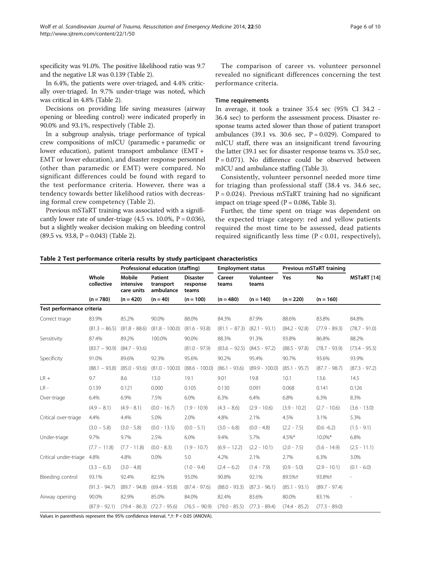<span id="page-5-0"></span>specificity was 91.0%. The positive likelihood ratio was 9.7 and the negative LR was 0.139 (Table 2).

In 6.4%, the patients were over-triaged, and 4.4% critically over-triaged. In 9.7% under-triage was noted, which was critical in 4.8% (Table 2).

Decisions on providing life saving measures (airway opening or bleeding control) were indicated properly in 90.0% and 93.1%, respectively (Table 2).

In a subgroup analysis, triage performance of typical crew compositions of mICU (paramedic + paramedic or lower education), patient transport ambulance (EMT + EMT or lower education), and disaster response personnel (other than paramedic or EMT) were compared. No significant differences could be found with regard to the test performance criteria. However, there was a tendency towards better likelihood ratios with decreasing formal crew competency (Table 2).

Previous mSTaRT training was associated with a significantly lower rate of under-triage  $(4.5 \text{ vs. } 10.0\%, \text{ P} = 0.036)$ , but a slightly weaker decision making on bleeding control  $(89.5 \text{ vs. } 93.8, P = 0.043)$  (Table 2).

The comparison of career vs. volunteer personnel revealed no significant differences concerning the test performance criteria.

#### Time requirements

In average, it took a trainee 35.4 sec (95% CI 34.2 - 36.4 sec) to perform the assessment process. Disaster response teams acted slower than those of patient transport ambulances (39.1 vs. 30.6 sec,  $P = 0.029$ ). Compared to mICU staff, there was an insignificant trend favouring the latter (39.1 sec for disaster response teams vs. 35.0 sec,  $P = 0.071$ ). No difference could be observed between mICU and ambulance staffing (Table [3\)](#page-6-0).

Consistently, volunteer personnel needed more time for triaging than professional staff (38.4 vs. 34.6 sec,  $P = 0.024$ ). Previous mSTaRT training had no significant impact on triage speed ( $P = 0.086$ , Table [3](#page-6-0)).

Further, the time spent on triage was dependent on the expected triage category: red and yellow patients required the most time to be assessed, dead patients required significantly less time  $(P < 0.01$ , respectively),

|                           |                     | Professional education (staffing)        |                                   | <b>Employment status</b>             |                 | <b>Previous mSTaRT training</b> |                 |                 |                 |
|---------------------------|---------------------|------------------------------------------|-----------------------------------|--------------------------------------|-----------------|---------------------------------|-----------------|-----------------|-----------------|
|                           | Whole<br>collective | <b>Mobile</b><br>intensive<br>care units | Patient<br>transport<br>ambulance | <b>Disaster</b><br>response<br>teams | Career<br>teams | Volunteer<br>teams              | <b>Yes</b>      | No              | MSTaRT [14]     |
|                           | $(n = 780)$         | $(n = 420)$                              | $(n = 40)$                        | $(n = 100)$                          | $(n = 480)$     | $(n = 140)$                     | $(n = 220)$     | $(n = 160)$     |                 |
| Test performance criteria |                     |                                          |                                   |                                      |                 |                                 |                 |                 |                 |
| Correct triage            | 83.9%               | 85.2%                                    | 90.0%                             | 88.0%                                | 84.3%           | 87.9%                           | 88.6%           | 83.8%           | 84.8%           |
|                           | $(81.3 - 86.5)$     | $(81.8 - 88.6)$                          | $(81.8 - 100.0)$                  | $(81.6 - 93.8)$                      | $(81.1 - 87.3)$ | $(82.1 - 93.1)$                 | $(84.2 - 92.8)$ | $(77.9 - 89.3)$ | $(78.7 - 91.0)$ |
| Sensitivity               | 87.4%               | 89.2%                                    | 100.0%                            | 90.0%                                | 88.3%           | 91.3%                           | 93.8%           | 86.8%           | 88.2%           |
|                           | $(83.7 - 90.9)$     | $(84.7 - 93.6)$                          |                                   | $(81.0 - 97.9)$                      | $(83.6 - 92.5)$ | $(84.5 - 97.2)$                 | $(88.5 - 97.8)$ | $(78.7 - 93.9)$ | $(73.4 - 95.3)$ |
| Specificity               | 91.0%               | 89.6%                                    | 92.3%                             | 95.6%                                | 90.2%           | 95.4%                           | 90.7%           | 93.6%           | 93.9%           |
|                           | $(88.1 - 93.8)$     | $(85.0 - 93.6)$                          | $(81.0 - 100.0)$                  | $(88.6 - 100.0)$                     | $(86.1 - 93.6)$ | $(89.9 - 100.0)$                | $(85.1 - 95.7)$ | $(87.7 - 98.7)$ | $(87.3 - 97.2)$ |
| $LR +$                    | 9.7                 | 8.6                                      | 13.0                              | 19.1                                 | 9.01            | 19.8                            | 10.1            | 13.6            | 14.5            |
| $LR -$                    | 0.139               | 0.121                                    | 0.000                             | 0.105                                | 0.130           | 0.091                           | 0.068           | 0.141           | 0.126           |
| Over-triage               | 6.4%                | 6.9%                                     | 7.5%                              | 6.0%                                 | 6.3%            | 6.4%                            | 6.8%            | 6.3%            | 8.3%            |
|                           | $(4.9 - 8.1)$       | $(4.9 - 8.1)$                            | $(0.0 - 16.7)$                    | $(1.9 - 10.9)$                       | $(4.3 - 8.6)$   | $(2.9 - 10.6)$                  | $(3.9 - 10.2)$  | $(2.7 - 10.6)$  | $(3.6 - 13.0)$  |
| Critical over-triage      | 4.4%                | 4.4%                                     | 5.0%                              | 2.0%                                 | 4.8%            | 2.1%                            | 4.5%            | 3.1%            | 5.3%            |
|                           | $(3.0 - 5.8)$       | $(3.0 - 5.8)$                            | $(0.0 - 13.5)$                    | $(0.0 - 5.1)$                        | $(3.0 - 6.8)$   | $(0.0 - 4.8)$                   | $(2.2 - 7.5)$   | $(0.6 - 6.2)$   | $(1.5 - 9.1)$   |
| Under-triage              | 9.7%                | 9.7%                                     | 2.5%                              | 6.0%                                 | 9.4%            | 5.7%                            | 4.5%*           | 10.0%*          | 6.8%            |
|                           | $(7.7 - 11.8)$      | $(7.7 - 11.8)$                           | $(0.0 - 8.3)$                     | $(1.9 - 10.7)$                       | $(6.9 - 12.2)$  | $(2.2 - 10.1)$                  | $(2.0 - 7.5)$   | $(5.6 - 14.9)$  | $(2.5 - 11.1)$  |
| Critical under-triage     | 4.8%                | 4.8%                                     | 0.0%                              | 5.0                                  | 4.2%            | 2.1%                            | 2.7%            | 6.3%            | 3.0%            |
|                           | $(3.3 - 6.3)$       | $(3.0 - 4.8)$                            |                                   | $(1.0 - 9.4)$                        | $(2.4 - 6.2)$   | $(1.4 - 7.9)$                   | $(0.9 - 5.0)$   | $(2.9 - 10.1)$  | $(0.1 - 6.0)$   |
| Bleeding control          | 93.1%               | 92.4%                                    | 82.5%                             | 93.0%                                | 90.8%           | 92.1%                           | 89.5%+          | 93.8%+          |                 |
|                           | $(91.3 - 94.7)$     | $(89.7 - 94.8)$                          | $(69.4 - 93.8)$                   | $(87.4 - 97.6)$                      | $(88.0 - 93.3)$ | $(87.3 - 96.1)$                 | $(85.1 - 93.1)$ | $(89.7 - 97.4)$ |                 |
| Airway opening            | 90.0%               | 82.9%                                    | 85.0%                             | 84.0%                                | 82.4%           | 83.6%                           | 80.0%           | 83.1%           |                 |
|                           | $(87.9 - 92.1)$     | $(79.4 - 86.3)$                          | $(72.7 - 95.6)$                   | $(76.5 - 90.9)$                      | $(79.0 - 85.5)$ | $(77.3 - 89.4)$                 | $(74.4 - 85.2)$ | $(77.3 - 89.0)$ |                 |

Table 2 Test performance criteria results by study participant characteristics

Values in parenthesis represent the 95% confidence interval. \*,†: P < 0.05 (ANOVA).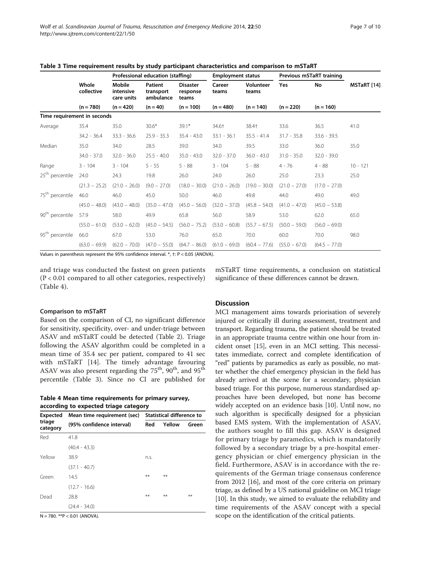|                             |                     | Professional education (staffing)        |                                          |                                      | <b>Employment status</b> |                    | Previous mSTaRT training |                 |             |
|-----------------------------|---------------------|------------------------------------------|------------------------------------------|--------------------------------------|--------------------------|--------------------|--------------------------|-----------------|-------------|
|                             | Whole<br>collective | <b>Mobile</b><br>intensive<br>care units | <b>Patient</b><br>transport<br>ambulance | <b>Disaster</b><br>response<br>teams | Career<br>teams          | Volunteer<br>teams | <b>Yes</b>               | No              | MSTaRT [14] |
|                             | $(n = 780)$         | $(n = 420)$                              | $(n = 40)$                               | $(n = 100)$                          | $(n = 480)$              | $(n = 140)$        | $(n = 220)$              | $(n = 160)$     |             |
| Time requirement in seconds |                     |                                          |                                          |                                      |                          |                    |                          |                 |             |
| Average                     | 35.4                | 35.0                                     | $30.6*$                                  | $39.1*$                              | 34.6†                    | 38.4†              | 33.6                     | 36.5            | 41.0        |
|                             | $34.2 - 36.4$       | $33.3 - 36.6$                            | $25.9 - 35.3$                            | $35.4 - 43.0$                        | $33.1 - 36.1$            | $35.5 - 41.4$      | $31.7 - 35.8$            | $33.6 - 39.5$   |             |
| Median                      | 35.0                | 34.0                                     | 28.5                                     | 39.0                                 | 34.0                     | 39.5               | 33.0                     | 36.0            | 35.0        |
|                             | $34.0 - 37.0$       | $32.0 - 36.0$                            | $25.5 - 40.0$                            | $35.0 - 43.0$                        | $32.0 - 37.0$            | $36.0 - 43.0$      | $31.0 - 35.0$            | $32.0 - 39.0$   |             |
| Range                       | $3 - 104$           | $3 - 104$                                | $5 - 55$                                 | $5 - 88$                             | $3 - 104$                | $5 - 88$           | $4 - 76$                 | $4 - 88$        | $10 - 121$  |
| 25 <sup>th</sup> percentile | 24.0                | 24.3                                     | 19.8                                     | 26.0                                 | 24.0                     | 26.0               | 25.0                     | 23.3            | 25.0        |
|                             | $(21.3 - 25.2)$     | $(21.0 - 26.0)$                          | $(9.0 - 27.0)$                           | $(18.0 - 30.0)$                      | $(21.0 - 26.0)$          | $(19.0 - 30.0)$    | $(21.0 - 27.0)$          | $(17.0 - 27.0)$ |             |
| 75 <sup>th</sup> percentile | 46.0                | 46.0                                     | 45.0                                     | 50.0                                 | 46.0                     | 49.8               | 44.0                     | 49.0            | 49.0        |
|                             | $(45.0 - 48.0)$     | $(43.0 - 48.0)$                          | $(35.0 - 47.0)$                          | $(45.0 - 56.0)$                      | $(32.0 - 37.0)$          | $(45.8 - 54.0)$    | $(41.0 - 47.0)$          | $(45.0 - 53.8)$ |             |
| 90 <sup>th</sup> percentile | 57.9                | 58.0                                     | 49.9                                     | 65.8                                 | 56.0                     | 58.9               | 53.0                     | 62.0            | 65.0        |
|                             | $(55.0 - 61.0)$     | $(53.0 - 62.0)$                          | $(45.0 - 54.5)$                          | $(56.0 - 75.2)$                      | $(53.0 - 60.8)$          | $(55.7 - 67.5)$    | $(50.0 - 59.0)$          | $(56.0 - 69.0)$ |             |
| 95 <sup>th</sup> percentile | 66.0                | 67.0                                     | 53.0                                     | 76.0                                 | 65.0                     | 70.0               | 60.0                     | 70.0            | 98.0        |
|                             | $(63.0 - 69.9)$     | $(62.0 - 70.0)$                          | $(47.0 - 55.0)$                          | $(64.7 - 86.0)$                      | $(61.0 - 69.0)$          | $(60.4 - 77.6)$    | $(55.0 - 67.0)$          | $(64.5 - 77.0)$ |             |

<span id="page-6-0"></span>Table 3 Time requirement results by study participant characteristics and comparison to mSTaRT

Values in parenthesis represent the 95% confidence interval. \*, †: P < 0.05 (ANOVA).

and triage was conducted the fastest on green patients (P < 0.01 compared to all other categories, respectively) (Table 4).

#### Comparison to mSTaRT

Based on the comparison of CI, no significant difference for sensitivity, specificity, over- and under-triage between ASAV and mSTaRT could be detected (Table [2](#page-5-0)). Triage following the ASAV algorithm could be completed in a mean time of 35.4 sec per patient, compared to 41 sec with mSTaRT [\[14](#page-9-0)]. The timely advantage favouring ASAV was also present regarding the  $75<sup>th</sup>$ ,  $90<sup>th</sup>$ , and  $95<sup>th</sup>$ percentile (Table 3). Since no CI are published for

Table 4 Mean time requirements for primary survey, according to expected triage category

| Expected           | Mean time requirement (sec) | <b>Statistical difference to</b> |        |       |  |
|--------------------|-----------------------------|----------------------------------|--------|-------|--|
| triage<br>category | (95% confidence interval)   | Red                              | Yellow | Green |  |
| Red                | 41.8                        |                                  |        |       |  |
|                    | $(40.4 - 43.3)$             |                                  |        |       |  |
| Yellow             | 38.9                        | n.s.                             |        |       |  |
|                    | $(37.1 - 40.7)$             |                                  |        |       |  |
| Green              | 14.5                        | **                               | **     |       |  |
|                    | $(12.7 - 16.6)$             |                                  |        |       |  |
| Dead               | 28.8                        | **                               | **     | **    |  |
|                    | $(24.4 - 34.0)$             |                                  |        |       |  |

 $N = 780.$  \*\* $P < 0.01$  (ANOVA).

mSTaRT time requirements, a conclusion on statistical significance of these differences cannot be drawn.

## **Discussion**

MCI management aims towards priorisation of severely injured or critically ill during assessment, treatment and transport. Regarding trauma, the patient should be treated in an appropriate trauma centre within one hour from incident onset [\[15\]](#page-9-0), even in an MCI setting. This necessitates immediate, correct and complete identification of "red" patients by paramedics as early as possible, no matter whether the chief emergency physician in the field has already arrived at the scene for a secondary, physician based triage. For this purpose, numerous standardised approaches have been developed, but none has become widely accepted on an evidence basis [\[10\]](#page-8-0). Until now, no such algorithm is specifically designed for a physician based EMS system. With the implementation of ASAV, the authors sought to fill this gap. ASAV is designed for primary triage by paramedics, which is mandatorily followed by a secondary triage by a pre-hospital emergency physician or chief emergency physician in the field. Furthermore, ASAV is in accordance with the requirements of the German triage consensus conference from 2012 [\[16](#page-9-0)], and most of the core criteria on primary triage, as defined by a US national guideline on MCI triage [[10](#page-8-0)]. In this study, we aimed to evaluate the reliability and time requirements of the ASAV concept with a special scope on the identification of the critical patients.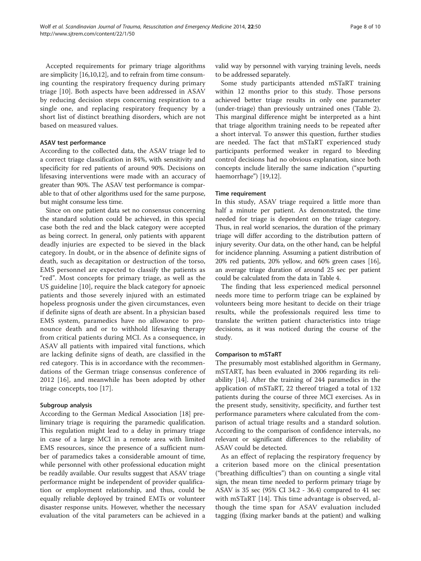Accepted requirements for primary triage algorithms are simplicity [\[16](#page-9-0)[,10,](#page-8-0)[12](#page-9-0)], and to refrain from time consuming counting the respiratory frequency during primary triage [[10](#page-8-0)]. Both aspects have been addressed in ASAV by reducing decision steps concerning respiration to a single one, and replacing respiratory frequency by a short list of distinct breathing disorders, which are not based on measured values.

#### ASAV test performance

According to the collected data, the ASAV triage led to a correct triage classification in 84%, with sensitivity and specificity for red patients of around 90%. Decisions on lifesaving interventions were made with an accuracy of greater than 90%. The ASAV test performance is comparable to that of other algorithms used for the same purpose, but might consume less time.

Since on one patient data set no consensus concerning the standard solution could be achieved, in this special case both the red and the black category were accepted as being correct. In general, only patients with apparent deadly injuries are expected to be sieved in the black category. In doubt, or in the absence of definite signs of death, such as decapitation or destruction of the torso, EMS personnel are expected to classify the patients as "red". Most concepts for primary triage, as well as the US guideline [\[10\]](#page-8-0), require the black category for apnoeic patients and those severely injured with an estimated hopeless prognosis under the given circumstances, even if definite signs of death are absent. In a physician based EMS system, paramedics have no allowance to pronounce death and or to withhold lifesaving therapy from critical patients during MCI. As a consequence, in ASAV all patients with impaired vital functions, which are lacking definite signs of death, are classified in the red category. This is in accordance with the recommendations of the German triage consensus conference of 2012 [\[16\]](#page-9-0), and meanwhile has been adopted by other triage concepts, too [\[17](#page-9-0)].

#### Subgroup analysis

According to the German Medical Association [\[18](#page-9-0)] preliminary triage is requiring the paramedic qualification. This regulation might lead to a delay in primary triage in case of a large MCI in a remote area with limited EMS resources, since the presence of a sufficient number of paramedics takes a considerable amount of time, while personnel with other professional education might be readily available. Our results suggest that ASAV triage performance might be independent of provider qualification or employment relationship, and thus, could be equally reliable deployed by trained EMTs or volunteer disaster response units. However, whether the necessary evaluation of the vital parameters can be achieved in a valid way by personnel with varying training levels, needs to be addressed separately.

Some study participants attended mSTaRT training within 12 months prior to this study. Those persons achieved better triage results in only one parameter (under-triage) than previously untrained ones (Table [2](#page-5-0)). This marginal difference might be interpreted as a hint that triage algorithm training needs to be repeated after a short interval. To answer this question, further studies are needed. The fact that mSTaRT experienced study participants performed weaker in regard to bleeding control decisions had no obvious explanation, since both concepts include literally the same indication ("spurting haemorrhage") [\[19,12\]](#page-9-0).

#### Time requirement

In this study, ASAV triage required a little more than half a minute per patient. As demonstrated, the time needed for triage is dependent on the triage category. Thus, in real world scenarios, the duration of the primary triage will differ according to the distribution pattern of injury severity. Our data, on the other hand, can be helpful for incidence planning. Assuming a patient distribution of 20% red patients, 20% yellow, and 60% green cases [[16](#page-9-0)], an average triage duration of around 25 sec per patient could be calculated from the data in Table [4](#page-6-0).

The finding that less experienced medical personnel needs more time to perform triage can be explained by volunteers being more hesitant to decide on their triage results, while the professionals required less time to translate the written patient characteristics into triage decisions, as it was noticed during the course of the study.

#### Comparison to mSTaRT

The presumably most established algorithm in Germany, mSTART, has been evaluated in 2006 regarding its reliability [[14](#page-9-0)]. After the training of 244 paramedics in the application of mSTaRT, 22 thereof triaged a total of 132 patients during the course of three MCI exercises. As in the present study, sensitivity, specificity, and further test performance parameters where calculated from the comparison of actual triage results and a standard solution. According to the comparison of confidence intervals, no relevant or significant differences to the reliability of ASAV could be detected.

As an effect of replacing the respiratory frequency by a criterion based more on the clinical presentation ("breathing difficulties") than on counting a single vital sign, the mean time needed to perform primary triage by ASAV is 35 sec (95% CI 34.2 - 36.4) compared to 41 sec with mSTaRT [[14\]](#page-9-0). This time advantage is observed, although the time span for ASAV evaluation included tagging (fixing marker bands at the patient) and walking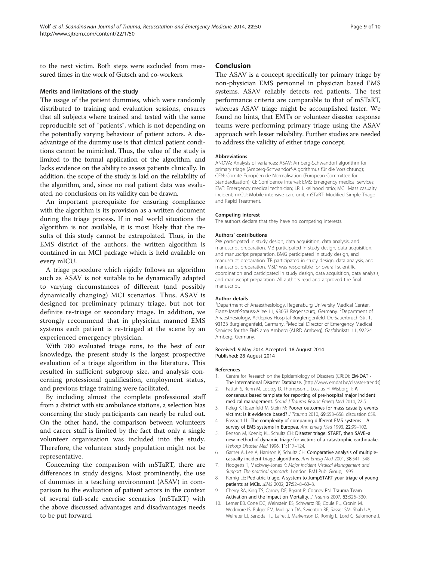<span id="page-8-0"></span>to the next victim. Both steps were excluded from measured times in the work of Gutsch and co-workers.

#### Merits and limitations of the study

The usage of the patient dummies, which were randomly distributed to training and evaluation sessions, ensures that all subjects where trained and tested with the same reproducible set of "patients", which is not depending on the potentially varying behaviour of patient actors. A disadvantage of the dummy use is that clinical patient conditions cannot be mimicked. Thus, the value of the study is limited to the formal application of the algorithm, and lacks evidence on the ability to assess patients clinically. In addition, the scope of the study is laid on the reliability of the algorithm, and, since no real patient data was evaluated, no conclusions on its validity can be drawn.

An important prerequisite for ensuring compliance with the algorithm is its provision as a written document during the triage process. If in real world situations the algorithm is not available, it is most likely that the results of this study cannot be extrapolated. Thus, in the EMS district of the authors, the written algorithm is contained in an MCI package which is held available on every mICU.

A triage procedure which rigidly follows an algorithm such as ASAV is not suitable to be dynamically adapted to varying circumstances of different (and possibly dynamically changing) MCI scenarios. Thus, ASAV is designed for preliminary primary triage, but not for definite re-triage or secondary triage. In addition, we strongly recommend that in physician manned EMS systems each patient is re-triaged at the scene by an experienced emergency physician.

With 780 evaluated triage runs, to the best of our knowledge, the present study is the largest prospective evaluation of a triage algorithm in the literature. This resulted in sufficient subgroup size, and analysis concerning professional qualification, employment status, and previous triage training were facilitated.

By including almost the complete professional staff from a district with six ambulance stations, a selection bias concerning the study participants can nearly be ruled out. On the other hand, the comparison between volunteers and career staff is limited by the fact that only a single volunteer organisation was included into the study. Therefore, the volunteer study population might not be representative.

Concerning the comparison with mSTaRT, there are differences in study designs. Most prominently, the use of dummies in a teaching environment (ASAV) in comparison to the evaluation of patient actors in the context of several full-scale exercise scenarios (mSTaRT) with the above discussed advantages and disadvantages needs to be put forward.

#### Conclusion

The ASAV is a concept specifically for primary triage by non-physician EMS personnel in physician based EMS systems. ASAV reliably detects red patients. The test performance criteria are comparable to that of mSTaRT, whereas ASAV triage might be accomplished faster. We found no hints, that EMTs or volunteer disaster response teams were performing primary triage using the ASAV approach with lesser reliability. Further studies are needed to address the validity of either triage concept.

#### Abbreviations

ANOVA: Analysis of variances; ASAV: Amberg-Schwandorf algorithm for primary triage (Amberg-Schwandorf-Algorithmus für die Vorsichtung); CEN: Comité Européen de Normalisation (European Committee for Standardization); CI: Confidence interval; EMS: Emergency medical services; EMT: Emergency medical technician; LR: Likelihood ratio; MCI: Mass casualty incident; mICU: Mobile intensive care unit; mSTaRT: Modified Simple Triage and Rapid Treatment.

#### Competing interest

The authors declare that they have no competing interests.

#### Authors' contributions

PW participated in study design, data acquisition, data analysis, and manuscript preparation. MB participated in study design, data acquisition, and manuscript preparation. BMG participated in study design, and manuscript preparation. TB participated in study design, data analysis, and manuscript preparation. MSD was responsible for overall scientific coordination and participated in study design, data acquisition, data analysis, and manuscript preparation. All authors read and approved the final manuscript.

#### Author details

<sup>1</sup>Department of Anaesthesiology, Regensburg University Medical Center, Franz-Josef-Strauss-Allee 11, 93053 Regensburg, Germany. <sup>2</sup>Department of Anaesthesiology, Asklepios Hospital Burglengenfeld, Dr.-Sauerbruch-Str. 1, 93133 Burglengenfeld, Germany. <sup>3</sup>Medical Director of Emergency Medical Services for the EMS area Amberg (ÄLRD Amberg), Gasfabrikstr. 11, 92224 Amberg, Germany.

#### Received: 9 May 2014 Accepted: 18 August 2014 Published: 28 August 2014

#### References

- 1. Centre for Research on the Epidemiology of Disasters (CRED): **EM-DAT** -The International Disaster Database. [\[http://www.emdat.be/disaster-trends\]](http://www.emdat.be/disaster-trends)
- 2. Fattah S, Rehn M, Lockey D, Thompson J, Lossius H, Wisborg T: A consensus based template for reporting of pre-hospital major incident medical management. Scand J Trauma Resusc Emerg Med 2014, 22:5.
- 3. Peleg K, Rozenfeld M, Stein M: Poorer outcomes for mass casualty events victims: is it evidence based? J Trauma 2010, 69:653-658. discussion 659.
- 4. Bossaert LL: The complexity of comparing different EMS systems—A survey of EMS systems in Europea. Ann Emerg Med 1993, 22:99-102.
- 5. Benson M, Koenig KL, Schultz CH: Disaster triage: START, then SAVE–a new method of dynamic triage for victims of a catastrophic earthquake. Prehosp Disaster Med 1996, 11:117–124.
- 6. Garner A, Lee A, Harrison K, Schultz CH: Comparative analysis of multiplecasualty incident triage algorithms. Ann Emerg Med 2001, 38:541–548.
- 7. Hodgetts T, Mackway-Jones K: Major Incident Medical Management and Support: The practical approach. London: BMJ Pub. Group; 1995.
- 8. Romig LE: Pediatric triage. A system to JumpSTART your triage of young patients at MCIs. JEMS 2002, 27:52–8–60–3.
- 9. Cherry RA, King TS, Carney DE, Bryant P, Cooney RN: Trauma Team Activation and the Impact on Mortality. J Trauma 2007, 63:326-330.
- 10. Lerner EB, Cone DC, Weinstein ES, Schwartz RB, Coule PL, Cronin M, Wedmore IS, Bulger EM, Mulligan DA, Swienton RE, Sasser SM, Shah UA, Weireter LJ, Sanddal TL, Lairet J, Markenson D, Romig L, Lord G, Salomone J,